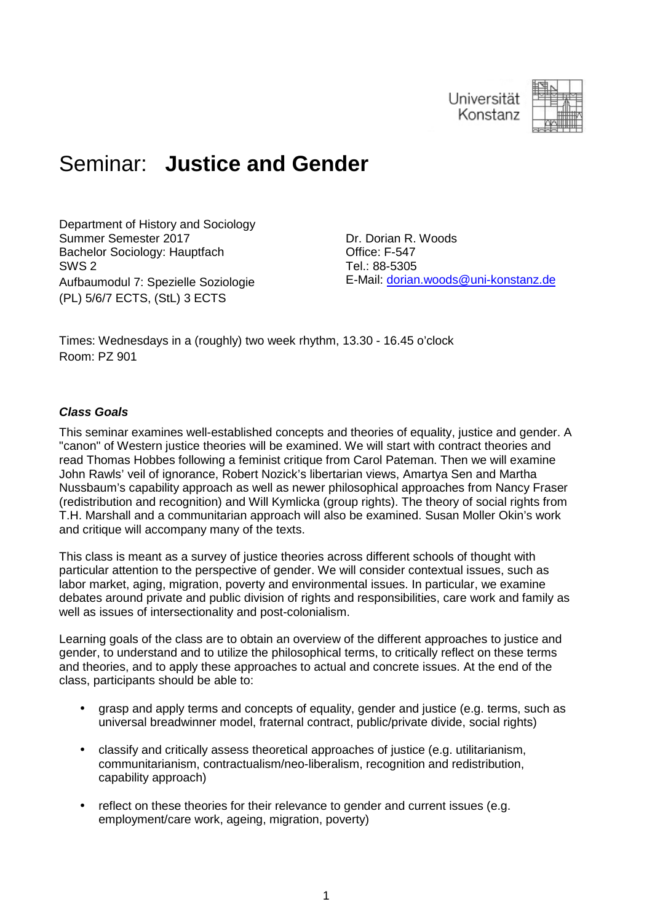

# Seminar: **Justice and Gender**

Department of History and Sociology Summer Semester 2017 Bachelor Sociology: Hauptfach SWS 2 Aufbaumodul 7: Spezielle Soziologie (PL) 5/6/7 ECTS, (StL) 3 ECTS

Dr. Dorian R. Woods Office: F-547 Tel.: 88-5305 E-Mail: dorian.woods@uni-konstanz.de

Times: Wednesdays in a (roughly) two week rhythm, 13.30 - 16.45 o'clock Room: PZ 901

#### **Class Goals**

This seminar examines well-established concepts and theories of equality, justice and gender. A "canon" of Western justice theories will be examined. We will start with contract theories and read Thomas Hobbes following a feminist critique from Carol Pateman. Then we will examine John Rawls' veil of ignorance, Robert Nozick's libertarian views, Amartya Sen and Martha Nussbaum's capability approach as well as newer philosophical approaches from Nancy Fraser (redistribution and recognition) and Will Kymlicka (group rights). The theory of social rights from T.H. Marshall and a communitarian approach will also be examined. Susan Moller Okin's work and critique will accompany many of the texts.

This class is meant as a survey of justice theories across different schools of thought with particular attention to the perspective of gender. We will consider contextual issues, such as labor market, aging, migration, poverty and environmental issues. In particular, we examine debates around private and public division of rights and responsibilities, care work and family as well as issues of intersectionality and post-colonialism.

Learning goals of the class are to obtain an overview of the different approaches to justice and gender, to understand and to utilize the philosophical terms, to critically reflect on these terms and theories, and to apply these approaches to actual and concrete issues. At the end of the class, participants should be able to:

- grasp and apply terms and concepts of equality, gender and justice (e.g. terms, such as universal breadwinner model, fraternal contract, public/private divide, social rights)
- classify and critically assess theoretical approaches of justice (e.g. utilitarianism, communitarianism, contractualism/neo-liberalism, recognition and redistribution, capability approach)
- reflect on these theories for their relevance to gender and current issues (e.g. employment/care work, ageing, migration, poverty)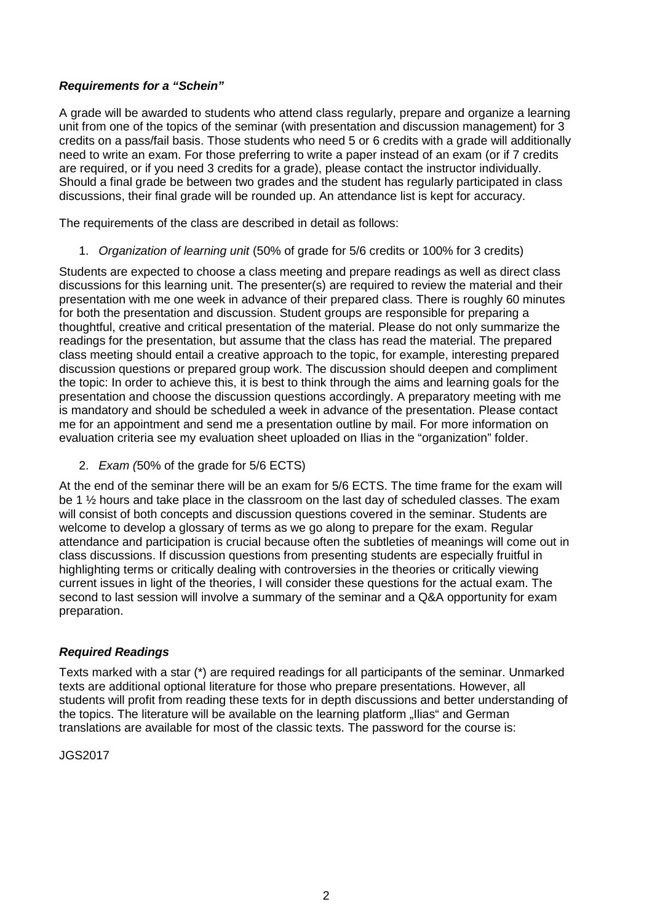#### **Requirements for a "Schein"**

A grade will be awarded to students who attend class regularly, prepare and organize a learning unit from one of the topics of the seminar (with presentation and discussion management) for 3 credits on a pass/fail basis. Those students who need 5 or 6 credits with a grade will additionally need to write an exam. For those preferring to write a paper instead of an exam (or if 7 credits are required, or if you need 3 credits for a grade), please contact the instructor individually. Should a final grade be between two grades and the student has regularly participated in class discussions, their final grade will be rounded up. An attendance list is kept for accuracy.

The requirements of the class are described in detail as follows:

1. Organization of learning unit (50% of grade for 5/6 credits or 100% for 3 credits)

Students are expected to choose a class meeting and prepare readings as well as direct class discussions for this learning unit. The presenter(s) are required to review the material and their presentation with me one week in advance of their prepared class. There is roughly 60 minutes for both the presentation and discussion. Student groups are responsible for preparing a thoughtful, creative and critical presentation of the material. Please do not only summarize the readings for the presentation, but assume that the class has read the material. The prepared class meeting should entail a creative approach to the topic, for example, interesting prepared discussion questions or prepared group work. The discussion should deepen and compliment the topic: In order to achieve this, it is best to think through the aims and learning goals for the presentation and choose the discussion questions accordingly. A preparatory meeting with me is mandatory and should be scheduled a week in advance of the presentation. Please contact me for an appointment and send me a presentation outline by mail. For more information on evaluation criteria see my evaluation sheet uploaded on Ilias in the "organization" folder.

2. Exam (50% of the grade for 5/6 ECTS)

At the end of the seminar there will be an exam for 5/6 ECTS. The time frame for the exam will be 1 ½ hours and take place in the classroom on the last day of scheduled classes. The exam will consist of both concepts and discussion questions covered in the seminar. Students are welcome to develop a glossary of terms as we go along to prepare for the exam. Regular attendance and participation is crucial because often the subtleties of meanings will come out in class discussions. If discussion questions from presenting students are especially fruitful in highlighting terms or critically dealing with controversies in the theories or critically viewing current issues in light of the theories, I will consider these questions for the actual exam. The second to last session will involve a summary of the seminar and a Q&A opportunity for exam preparation.

#### **Required Readings**

Texts marked with a star (\*) are required readings for all participants of the seminar. Unmarked texts are additional optional literature for those who prepare presentations. However, all students will profit from reading these texts for in depth discussions and better understanding of the topics. The literature will be available on the learning platform "Ilias" and German translations are available for most of the classic texts. The password for the course is:

JGS2017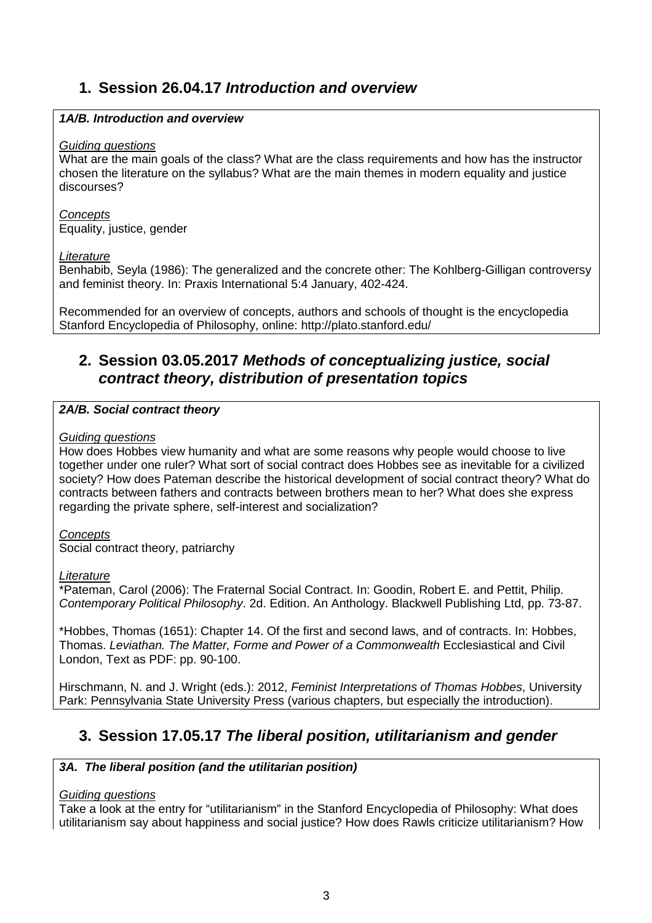# **1. Session 26.04.17 Introduction and overview**

#### **1A/B. Introduction and overview**

#### Guiding questions

What are the main goals of the class? What are the class requirements and how has the instructor chosen the literature on the syllabus? What are the main themes in modern equality and justice discourses?

#### **Concepts**

Equality, justice, gender

#### **Literature**

Benhabib, Seyla (1986): The generalized and the concrete other: The Kohlberg-Gilligan controversy and feminist theory. In: Praxis International 5:4 January, 402-424.

Recommended for an overview of concepts, authors and schools of thought is the encyclopedia Stanford Encyclopedia of Philosophy, online: http://plato.stanford.edu/

# **2. Session 03.05.2017 Methods of conceptualizing justice, social contract theory, distribution of presentation topics**

#### **2A/B. Social contract theory**

#### Guiding questions

How does Hobbes view humanity and what are some reasons why people would choose to live together under one ruler? What sort of social contract does Hobbes see as inevitable for a civilized society? How does Pateman describe the historical development of social contract theory? What do contracts between fathers and contracts between brothers mean to her? What does she express regarding the private sphere, self-interest and socialization?

#### **Concepts**

Social contract theory, patriarchy

#### **Literature**

\*Pateman, Carol (2006): The Fraternal Social Contract. In: Goodin, Robert E. and Pettit, Philip. Contemporary Political Philosophy. 2d. Edition. An Anthology. Blackwell Publishing Ltd, pp. 73-87.

\*Hobbes, Thomas (1651): Chapter 14. Of the first and second laws, and of contracts. In: Hobbes, Thomas. Leviathan. The Matter, Forme and Power of a Commonwealth Ecclesiastical and Civil London, Text as PDF: pp. 90-100.

Hirschmann, N. and J. Wright (eds.): 2012, Feminist Interpretations of Thomas Hobbes, University Park: Pennsylvania State University Press (various chapters, but especially the introduction).

# **3. Session 17.05.17 The liberal position, utilitarianism and gender**

#### **3A. The liberal position (and the utilitarian position)**

#### Guiding questions

Take a look at the entry for "utilitarianism" in the Stanford Encyclopedia of Philosophy: What does utilitarianism say about happiness and social justice? How does Rawls criticize utilitarianism? How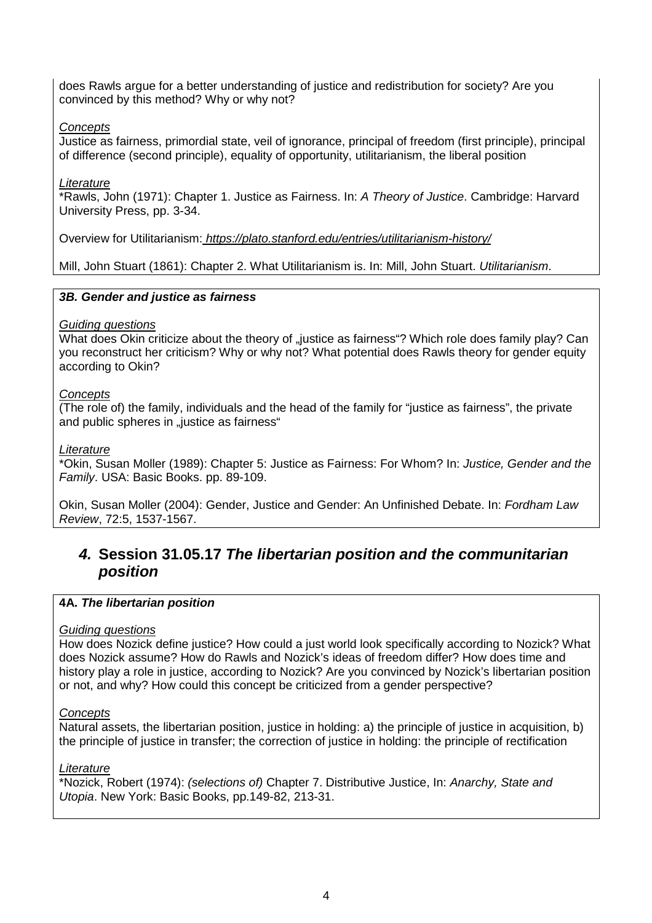does Rawls argue for a better understanding of justice and redistribution for society? Are you convinced by this method? Why or why not?

#### **Concepts**

Justice as fairness, primordial state, veil of ignorance, principal of freedom (first principle), principal of difference (second principle), equality of opportunity, utilitarianism, the liberal position

#### **Literature**

\*Rawls, John (1971): Chapter 1. Justice as Fairness. In: A Theory of Justice. Cambridge: Harvard University Press, pp. 3-34.

Overview for Utilitarianism: https://plato.stanford.edu/entries/utilitarianism-history/

Mill, John Stuart (1861): Chapter 2. What Utilitarianism is. In: Mill, John Stuart. Utilitarianism.

#### **3B. Gender and justice as fairness**

#### Guiding questions

What does Okin criticize about the theory of "justice as fairness"? Which role does family play? Can you reconstruct her criticism? Why or why not? What potential does Rawls theory for gender equity according to Okin?

#### **Concepts**

(The role of) the family, individuals and the head of the family for "justice as fairness", the private and public spheres in "justice as fairness"

#### **Literature**

\*Okin, Susan Moller (1989): Chapter 5: Justice as Fairness: For Whom? In: Justice, Gender and the Family. USA: Basic Books. pp. 89-109.

Okin, Susan Moller (2004): Gender, Justice and Gender: An Unfinished Debate. In: Fordham Law Review, 72:5, 1537-1567.

### **4. Session 31.05.17 The libertarian position and the communitarian position**

#### **4A. The libertarian position**

#### Guiding questions

How does Nozick define justice? How could a just world look specifically according to Nozick? What does Nozick assume? How do Rawls and Nozick's ideas of freedom differ? How does time and history play a role in justice, according to Nozick? Are you convinced by Nozick's libertarian position or not, and why? How could this concept be criticized from a gender perspective?

#### **Concepts**

Natural assets, the libertarian position, justice in holding: a) the principle of justice in acquisition, b) the principle of justice in transfer; the correction of justice in holding: the principle of rectification

#### **Literature**

\*Nozick, Robert (1974): (selections of) Chapter 7. Distributive Justice, In: Anarchy, State and Utopia. New York: Basic Books, pp.149-82, 213-31.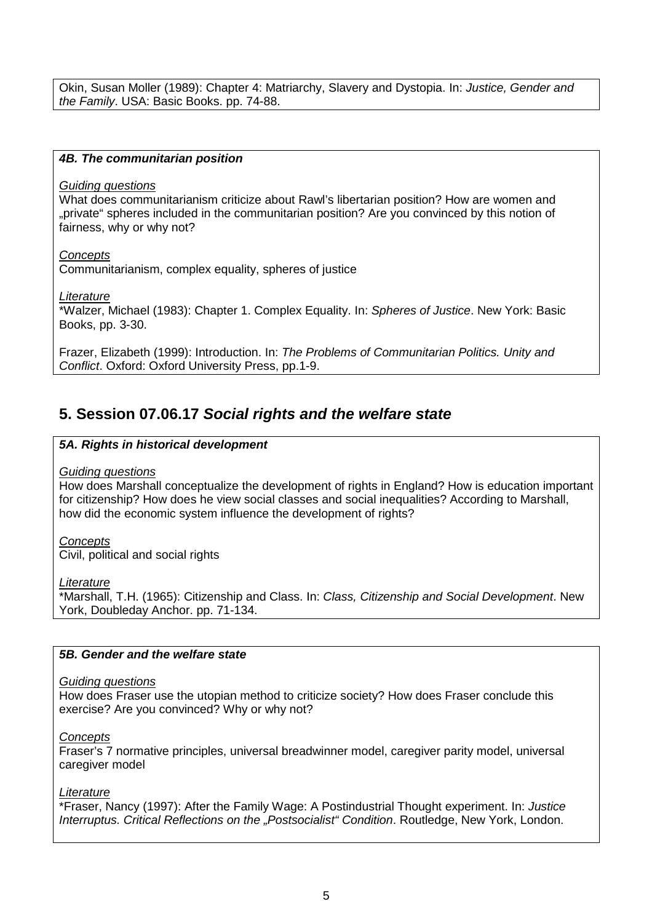Okin, Susan Moller (1989): Chapter 4: Matriarchy, Slavery and Dystopia. In: Justice, Gender and the Family. USA: Basic Books. pp. 74-88.

#### **4B. The communitarian position**

#### Guiding questions

What does communitarianism criticize about Rawl's libertarian position? How are women and "private" spheres included in the communitarian position? Are you convinced by this notion of fairness, why or why not?

**Concepts** 

Communitarianism, complex equality, spheres of justice

**Literature** 

\*Walzer, Michael (1983): Chapter 1. Complex Equality. In: Spheres of Justice. New York: Basic Books, pp. 3-30.

Frazer, Elizabeth (1999): Introduction. In: The Problems of Communitarian Politics. Unity and Conflict. Oxford: Oxford University Press, pp.1-9.

### **5. Session 07.06.17 Social rights and the welfare state**

#### **5A. Rights in historical development**

#### Guiding questions

How does Marshall conceptualize the development of rights in England? How is education important for citizenship? How does he view social classes and social inequalities? According to Marshall, how did the economic system influence the development of rights?

**Concepts** 

Civil, political and social rights

**Literature** 

\*Marshall, T.H. (1965): Citizenship and Class. In: Class, Citizenship and Social Development. New York, Doubleday Anchor. pp. 71-134.

#### **5B. Gender and the welfare state**

#### Guiding questions

How does Fraser use the utopian method to criticize society? How does Fraser conclude this exercise? Are you convinced? Why or why not?

#### **Concepts**

Fraser's 7 normative principles, universal breadwinner model, caregiver parity model, universal caregiver model

#### **Literature**

\*Fraser, Nancy (1997): After the Family Wage: A Postindustrial Thought experiment. In: Justice Interruptus. Critical Reflections on the "Postsocialist" Condition. Routledge, New York, London.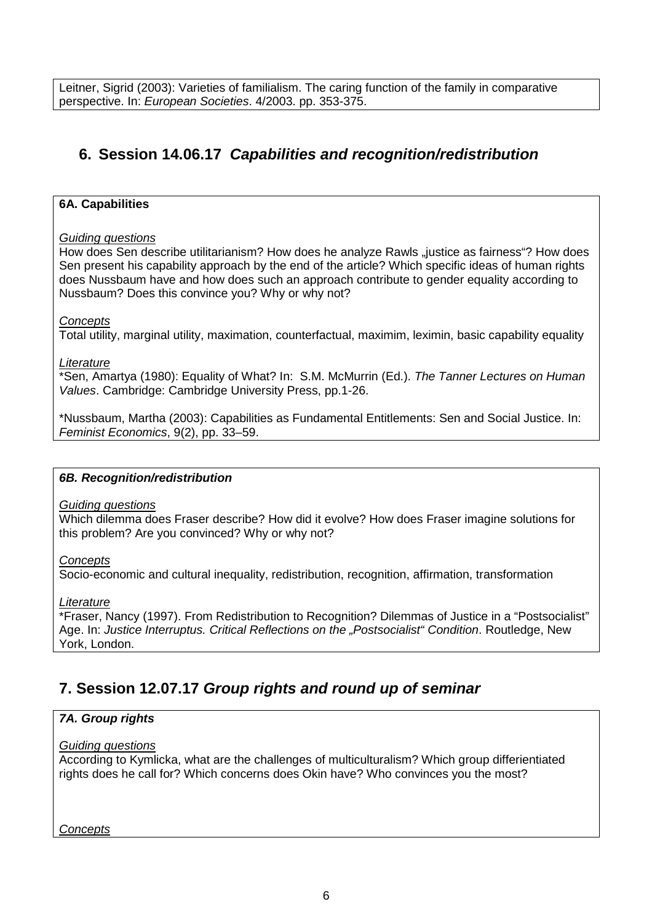Leitner, Sigrid (2003): Varieties of familialism. The caring function of the family in comparative perspective. In: European Societies. 4/2003. pp. 353-375.

# **6. Session 14.06.17 Capabilities and recognition/redistribution**

#### **6A. Capabilities**

#### Guiding questions

How does Sen describe utilitarianism? How does he analyze Rawls "justice as fairness"? How does Sen present his capability approach by the end of the article? Which specific ideas of human rights does Nussbaum have and how does such an approach contribute to gender equality according to Nussbaum? Does this convince you? Why or why not?

#### **Concepts**

Total utility, marginal utility, maximation, counterfactual, maximim, leximin, basic capability equality

#### Literature

\*Sen, Amartya (1980): Equality of What? In: S.M. McMurrin (Ed.). The Tanner Lectures on Human Values. Cambridge: Cambridge University Press, pp.1-26.

\*Nussbaum, Martha (2003): Capabilities as Fundamental Entitlements: Sen and Social Justice. In: Feminist Economics, 9(2), pp. 33–59.

#### **6B. Recognition/redistribution**

#### Guiding questions

Which dilemma does Fraser describe? How did it evolve? How does Fraser imagine solutions for this problem? Are you convinced? Why or why not?

#### **Concepts**

Socio-economic and cultural inequality, redistribution, recognition, affirmation, transformation

#### **Literature**

\*Fraser, Nancy (1997). From Redistribution to Recognition? Dilemmas of Justice in a "Postsocialist" Age. In: Justice Interruptus. Critical Reflections on the "Postsocialist" Condition. Routledge, New York, London.

### **7. Session 12.07.17 Group rights and round up of seminar**

#### **7A. Group rights**

#### Guiding questions

According to Kymlicka, what are the challenges of multiculturalism? Which group differientiated rights does he call for? Which concerns does Okin have? Who convinces you the most?

**Concepts**